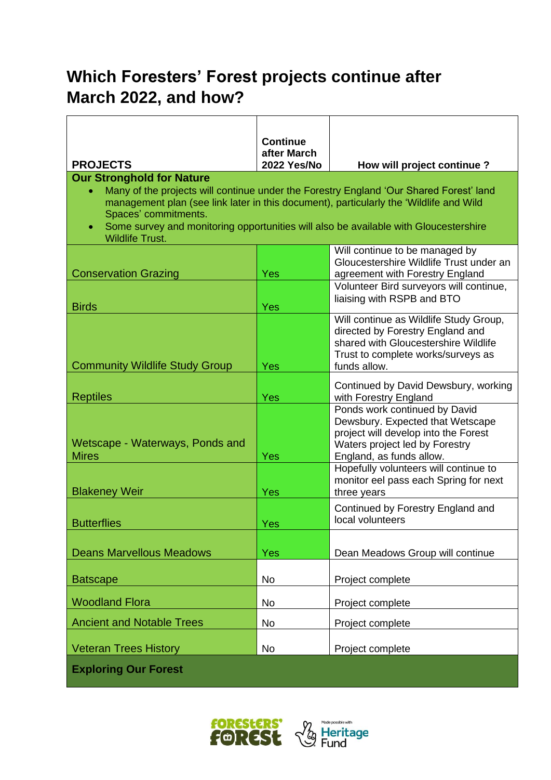# **Which Foresters' Forest projects continue after March 2022, and how?**

|                                                                                                                                                                                                                                                                                                                                                                | <b>Continue</b>                   |                                                                                                                                                                          |  |  |
|----------------------------------------------------------------------------------------------------------------------------------------------------------------------------------------------------------------------------------------------------------------------------------------------------------------------------------------------------------------|-----------------------------------|--------------------------------------------------------------------------------------------------------------------------------------------------------------------------|--|--|
| <b>PROJECTS</b>                                                                                                                                                                                                                                                                                                                                                | after March<br><b>2022 Yes/No</b> | How will project continue?                                                                                                                                               |  |  |
| <b>Our Stronghold for Nature</b><br>Many of the projects will continue under the Forestry England 'Our Shared Forest' land<br>management plan (see link later in this document), particularly the 'Wildlife and Wild<br>Spaces' commitments.<br>Some survey and monitoring opportunities will also be available with Gloucestershire<br><b>Wildlife Trust.</b> |                                   |                                                                                                                                                                          |  |  |
| <b>Conservation Grazing</b>                                                                                                                                                                                                                                                                                                                                    | <b>Yes</b>                        | Will continue to be managed by<br>Gloucestershire Wildlife Trust under an<br>agreement with Forestry England<br>Volunteer Bird surveyors will continue,                  |  |  |
| <b>Birds</b>                                                                                                                                                                                                                                                                                                                                                   | <b>Yes</b>                        | liaising with RSPB and BTO                                                                                                                                               |  |  |
| <b>Community Wildlife Study Group</b>                                                                                                                                                                                                                                                                                                                          | Yes                               | Will continue as Wildlife Study Group,<br>directed by Forestry England and<br>shared with Gloucestershire Wildlife<br>Trust to complete works/surveys as<br>funds allow. |  |  |
| <b>Reptiles</b>                                                                                                                                                                                                                                                                                                                                                | Yes                               | Continued by David Dewsbury, working<br>with Forestry England                                                                                                            |  |  |
| Wetscape - Waterways, Ponds and<br><b>Mires</b>                                                                                                                                                                                                                                                                                                                | Yes                               | Ponds work continued by David<br>Dewsbury. Expected that Wetscape<br>project will develop into the Forest<br>Waters project led by Forestry<br>England, as funds allow.  |  |  |
| <b>Blakeney Weir</b>                                                                                                                                                                                                                                                                                                                                           | <b>Yes</b>                        | Hopefully volunteers will continue to<br>monitor eel pass each Spring for next<br>three years                                                                            |  |  |
| <b>Butterflies</b>                                                                                                                                                                                                                                                                                                                                             | Yes                               | Continued by Forestry England and<br>local volunteers                                                                                                                    |  |  |
| <b>Deans Marvellous Meadows</b>                                                                                                                                                                                                                                                                                                                                | Yes                               | Dean Meadows Group will continue                                                                                                                                         |  |  |
| <b>Batscape</b>                                                                                                                                                                                                                                                                                                                                                | <b>No</b>                         | Project complete                                                                                                                                                         |  |  |
| <b>Woodland Flora</b>                                                                                                                                                                                                                                                                                                                                          | No                                | Project complete                                                                                                                                                         |  |  |
| <b>Ancient and Notable Trees</b>                                                                                                                                                                                                                                                                                                                               | No                                | Project complete                                                                                                                                                         |  |  |
| <b>Veteran Trees History</b>                                                                                                                                                                                                                                                                                                                                   | No                                | Project complete                                                                                                                                                         |  |  |
| <b>Exploring Our Forest</b>                                                                                                                                                                                                                                                                                                                                    |                                   |                                                                                                                                                                          |  |  |



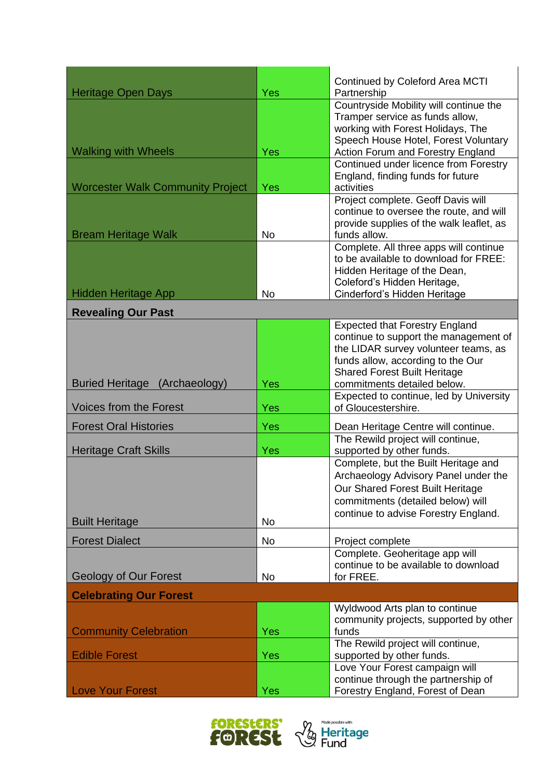| <b>Heritage Open Days</b>               | Yes        | Continued by Coleford Area MCTI<br>Partnership                    |  |  |
|-----------------------------------------|------------|-------------------------------------------------------------------|--|--|
|                                         |            | Countryside Mobility will continue the                            |  |  |
|                                         |            | Tramper service as funds allow,                                   |  |  |
|                                         |            | working with Forest Holidays, The                                 |  |  |
|                                         |            | Speech House Hotel, Forest Voluntary                              |  |  |
| <b>Walking with Wheels</b>              | Yes        | Action Forum and Forestry England                                 |  |  |
|                                         |            | Continued under licence from Forestry                             |  |  |
|                                         |            | England, finding funds for future                                 |  |  |
| <b>Worcester Walk Community Project</b> | <b>Yes</b> | activities                                                        |  |  |
|                                         |            | Project complete. Geoff Davis will                                |  |  |
|                                         |            | continue to oversee the route, and will                           |  |  |
|                                         |            | provide supplies of the walk leaflet, as                          |  |  |
| <b>Bream Heritage Walk</b>              | <b>No</b>  | funds allow.                                                      |  |  |
|                                         |            | Complete. All three apps will continue                            |  |  |
|                                         |            | to be available to download for FREE:                             |  |  |
|                                         |            | Hidden Heritage of the Dean,                                      |  |  |
|                                         |            | Coleford's Hidden Heritage,                                       |  |  |
| <b>Hidden Heritage App</b>              | <b>No</b>  | Cinderford's Hidden Heritage                                      |  |  |
| <b>Revealing Our Past</b>               |            |                                                                   |  |  |
|                                         |            | <b>Expected that Forestry England</b>                             |  |  |
|                                         |            | continue to support the management of                             |  |  |
|                                         |            | the LIDAR survey volunteer teams, as                              |  |  |
|                                         |            | funds allow, according to the Our                                 |  |  |
|                                         |            | <b>Shared Forest Built Heritage</b>                               |  |  |
| Buried Heritage (Archaeology)           | Yes        | commitments detailed below.                                       |  |  |
|                                         |            | Expected to continue, led by University                           |  |  |
| Voices from the Forest                  | Yes        | of Gloucestershire.                                               |  |  |
| <b>Forest Oral Histories</b>            | Yes        | Dean Heritage Centre will continue.                               |  |  |
|                                         |            | The Rewild project will continue,                                 |  |  |
| <b>Heritage Craft Skills</b>            | Yes        | supported by other funds.<br>Complete, but the Built Heritage and |  |  |
|                                         |            |                                                                   |  |  |
|                                         |            | Archaeology Advisory Panel under the                              |  |  |
|                                         |            | Our Shared Forest Built Heritage                                  |  |  |
|                                         |            | commitments (detailed below) will                                 |  |  |
| <b>Built Heritage</b>                   | No         | continue to advise Forestry England.                              |  |  |
| <b>Forest Dialect</b>                   | No         | Project complete                                                  |  |  |
|                                         |            | Complete. Geoheritage app will                                    |  |  |
|                                         |            | continue to be available to download                              |  |  |
| <b>Geology of Our Forest</b>            | <b>No</b>  | for FREE.                                                         |  |  |
| <b>Celebrating Our Forest</b>           |            |                                                                   |  |  |
|                                         |            | Wyldwood Arts plan to continue                                    |  |  |
|                                         |            | community projects, supported by other                            |  |  |
| <b>Community Celebration</b>            | Yes        | funds                                                             |  |  |
|                                         |            | The Rewild project will continue,                                 |  |  |
| <b>Edible Forest</b>                    | Yes        | supported by other funds.                                         |  |  |
|                                         |            | Love Your Forest campaign will                                    |  |  |
|                                         |            | continue through the partnership of                               |  |  |
| <b>Love Your Forest</b>                 | Yes        | Forestry England, Forest of Dean                                  |  |  |



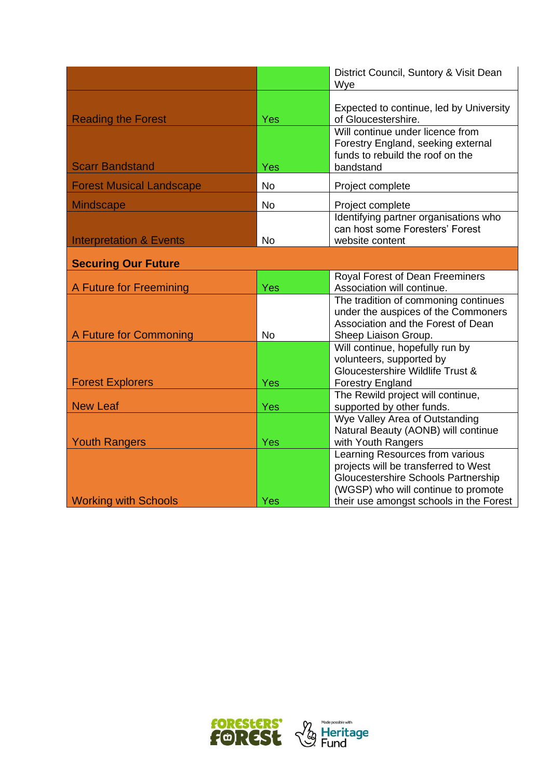|                                                     |            | District Council, Suntory & Visit Dean<br>Wye                                                                                                                                                    |  |  |
|-----------------------------------------------------|------------|--------------------------------------------------------------------------------------------------------------------------------------------------------------------------------------------------|--|--|
| <b>Reading the Forest</b><br><b>Scarr Bandstand</b> | Yes<br>Yes | Expected to continue, led by University<br>of Gloucestershire.<br>Will continue under licence from<br>Forestry England, seeking external<br>funds to rebuild the roof on the<br>bandstand        |  |  |
| <b>Forest Musical Landscape</b>                     | <b>No</b>  | Project complete                                                                                                                                                                                 |  |  |
| <b>Mindscape</b>                                    | <b>No</b>  | Project complete                                                                                                                                                                                 |  |  |
| <b>Interpretation &amp; Events</b>                  | <b>No</b>  | Identifying partner organisations who<br>can host some Foresters' Forest<br>website content                                                                                                      |  |  |
| <b>Securing Our Future</b>                          |            |                                                                                                                                                                                                  |  |  |
| A Future for Freemining                             | Yes        | Royal Forest of Dean Freeminers<br>Association will continue.                                                                                                                                    |  |  |
| A Future for Commoning                              | <b>No</b>  | The tradition of commoning continues<br>under the auspices of the Commoners<br>Association and the Forest of Dean<br>Sheep Liaison Group.                                                        |  |  |
| <b>Forest Explorers</b>                             | Yes        | Will continue, hopefully run by<br>volunteers, supported by<br>Gloucestershire Wildlife Trust &<br><b>Forestry England</b>                                                                       |  |  |
| <b>New Leaf</b>                                     | Yes        | The Rewild project will continue,<br>supported by other funds.                                                                                                                                   |  |  |
| <b>Youth Rangers</b>                                | Yes        | Wye Valley Area of Outstanding<br>Natural Beauty (AONB) will continue<br>with Youth Rangers                                                                                                      |  |  |
| <b>Working with Schools</b>                         | Yes        | Learning Resources from various<br>projects will be transferred to West<br>Gloucestershire Schools Partnership<br>(WGSP) who will continue to promote<br>their use amongst schools in the Forest |  |  |

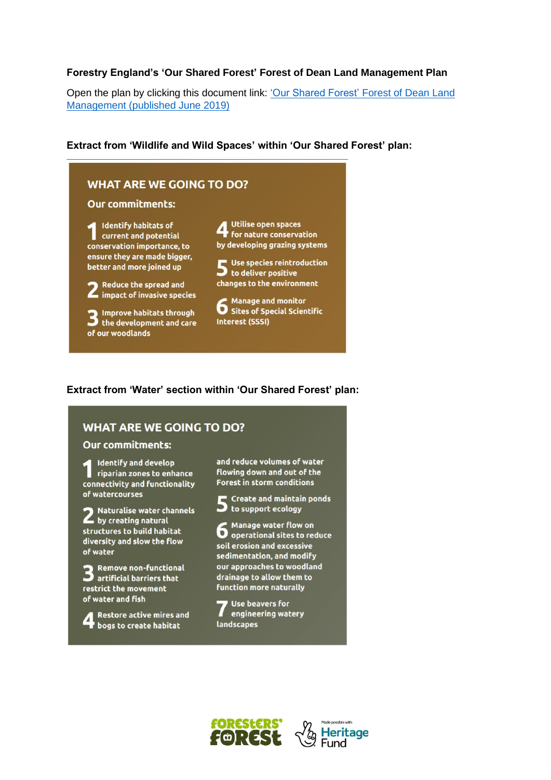### **Forestry England's 'Our Shared Forest' Forest of Dean Land Management Plan**

Open the plan by clicking this document link: ['Our Shared Forest' Forest of Dean Land](https://www.forestryengland.uk/sites/default/files/documents/Our%20Shared%20Forest%20-%20Forest%20of%20Dean%20Land%20Management%20Plan%20published%20June%202019.pdf)  [Management \(published June 2019\)](https://www.forestryengland.uk/sites/default/files/documents/Our%20Shared%20Forest%20-%20Forest%20of%20Dean%20Land%20Management%20Plan%20published%20June%202019.pdf)

#### **Extract from 'Wildlife and Wild Spaces' within 'Our Shared Forest' plan:**



### **Extract from 'Water' section within 'Our Shared Forest' plan:**

## **WHAT ARE WE GOING TO DO?**

#### **Our commitments:**

**Identify and develop** Identify and develop<br>
riparian zones to enhance<br>
connectivity and functionality connectivity and functionality of watercourses

Naturalise water channels by creating natural structures to build habitat diversity and slow the flow of water

3 Remove non-functional<br>3 artificial barriers that restrict the movement of water and fish

**Restore active mires and** bogs to create habitat

and reduce volumes of water flowing down and out of the Forest in storm conditions

Create and maintain ponds  $\triangleright$  to support ecology

**6** Manage water flow on<br>**6** operational sites to reduce soil erosion and excessive sedimentation, and modify our approaches to woodland drainage to allow them to **function more naturally** 

**Use beavers for** engineering watery landscapes